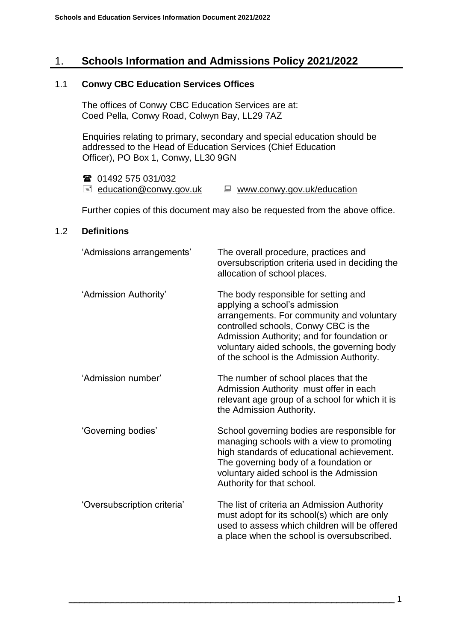# 1. **Schools Information and Admissions Policy 2021/2022**

### 1.1 **Conwy CBC Education Services Offices**

The offices of Conwy CBC Education Services are at: Coed Pella, Conwy Road, Colwyn Bay, LL29 7AZ

Enquiries relating to primary, secondary and special education should be addressed to the Head of Education Services (Chief Education Officer), PO Box 1, Conwy, LL30 9GN

 01492 575 031/032  $\equiv$  [education@conwy.gov.uk](mailto:education@conwy.gov.uk)  $\equiv$  [www.conwy.gov.uk/education](http://www.conwy.gov.uk/education)

Further copies of this document may also be requested from the above office.

### 1.2 **Definitions**

| 'Admissions arrangements'   | The overall procedure, practices and<br>oversubscription criteria used in deciding the<br>allocation of school places.                                                                                                                                                                               |
|-----------------------------|------------------------------------------------------------------------------------------------------------------------------------------------------------------------------------------------------------------------------------------------------------------------------------------------------|
| 'Admission Authority'       | The body responsible for setting and<br>applying a school's admission<br>arrangements. For community and voluntary<br>controlled schools, Conwy CBC is the<br>Admission Authority; and for foundation or<br>voluntary aided schools, the governing body<br>of the school is the Admission Authority. |
| 'Admission number'          | The number of school places that the<br>Admission Authority must offer in each<br>relevant age group of a school for which it is<br>the Admission Authority.                                                                                                                                         |
| 'Governing bodies'          | School governing bodies are responsible for<br>managing schools with a view to promoting<br>high standards of educational achievement.<br>The governing body of a foundation or<br>voluntary aided school is the Admission<br>Authority for that school.                                             |
| 'Oversubscription criteria' | The list of criteria an Admission Authority<br>must adopt for its school(s) which are only<br>used to assess which children will be offered<br>a place when the school is oversubscribed.                                                                                                            |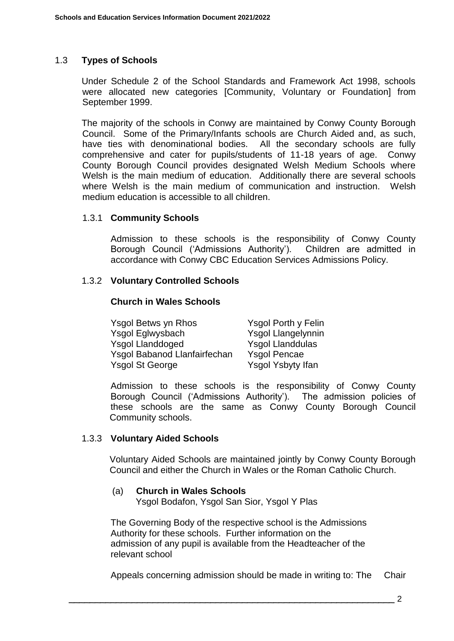## 1.3 **Types of Schools**

Under Schedule 2 of the School Standards and Framework Act 1998, schools were allocated new categories [Community, Voluntary or Foundation] from September 1999.

The majority of the schools in Conwy are maintained by Conwy County Borough Council. Some of the Primary/Infants schools are Church Aided and, as such, have ties with denominational bodies. All the secondary schools are fully comprehensive and cater for pupils/students of 11-18 years of age. Conwy County Borough Council provides designated Welsh Medium Schools where Welsh is the main medium of education. Additionally there are several schools where Welsh is the main medium of communication and instruction. Welsh medium education is accessible to all children.

### 1.3.1 **Community Schools**

Admission to these schools is the responsibility of Conwy County Borough Council ('Admissions Authority'). Children are admitted in accordance with Conwy CBC Education Services Admissions Policy.

### 1.3.2 **Voluntary Controlled Schools**

#### **Church in Wales Schools**

| Ysgol Betws yn Rhos          | <b>Ysgol Porth y Felin</b> |
|------------------------------|----------------------------|
| Ysgol Eglwysbach             | <b>Ysgol Llangelynnin</b>  |
| <b>Ysgol Llanddoged</b>      | <b>Ysgol Llanddulas</b>    |
| Ysgol Babanod Llanfairfechan | <b>Ysgol Pencae</b>        |
| <b>Ysgol St George</b>       | Ysgol Ysbyty Ifan          |

Admission to these schools is the responsibility of Conwy County Borough Council ('Admissions Authority'). The admission policies of these schools are the same as Conwy County Borough Council Community schools.

### 1.3.3 **Voluntary Aided Schools**

Voluntary Aided Schools are maintained jointly by Conwy County Borough Council and either the Church in Wales or the Roman Catholic Church.

#### (a) **Church in Wales Schools** Ysgol Bodafon, Ysgol San Sior, Ysgol Y Plas

The Governing Body of the respective school is the Admissions Authority for these schools. Further information on the admission of any pupil is available from the Headteacher of the relevant school

Appeals concerning admission should be made in writing to: The Chair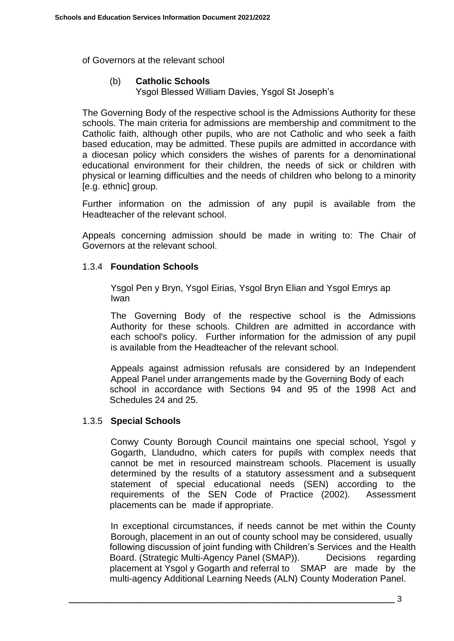of Governors at the relevant school

### (b) **Catholic Schools**

Ysgol Blessed William Davies, Ysgol St Joseph's

The Governing Body of the respective school is the Admissions Authority for these schools. The main criteria for admissions are membership and commitment to the Catholic faith, although other pupils, who are not Catholic and who seek a faith based education, may be admitted. These pupils are admitted in accordance with a diocesan policy which considers the wishes of parents for a denominational educational environment for their children, the needs of sick or children with physical or learning difficulties and the needs of children who belong to a minority [e.g. ethnic] group.

Further information on the admission of any pupil is available from the Headteacher of the relevant school.

Appeals concerning admission should be made in writing to: The Chair of Governors at the relevant school.

### 1.3.4 **Foundation Schools**

Ysgol Pen y Bryn, Ysgol Eirias, Ysgol Bryn Elian and Ysgol Emrys ap Iwan

The Governing Body of the respective school is the Admissions Authority for these schools. Children are admitted in accordance with each school's policy. Further information for the admission of any pupil is available from the Headteacher of the relevant school.

Appeals against admission refusals are considered by an Independent Appeal Panel under arrangements made by the Governing Body of each school in accordance with Sections 94 and 95 of the 1998 Act and Schedules 24 and 25.

### 1.3.5 **Special Schools**

Conwy County Borough Council maintains one special school, Ysgol y Gogarth, Llandudno, which caters for pupils with complex needs that cannot be met in resourced mainstream schools. Placement is usually determined by the results of a statutory assessment and a subsequent statement of special educational needs (SEN) according to the requirements of the SEN Code of Practice (2002). Assessment placements can be made if appropriate.

In exceptional circumstances, if needs cannot be met within the County Borough, placement in an out of county school may be considered, usually following discussion of joint funding with Children's Services and the Health Board. (Strategic Multi-Agency Panel (SMAP)). Decisions regarding placement at Ysgol y Gogarth and referral to SMAP are made by the multi-agency Additional Learning Needs (ALN) County Moderation Panel.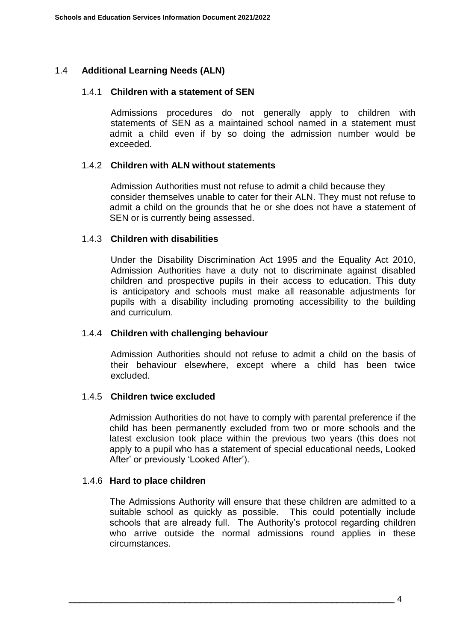### 1.4 **Additional Learning Needs (ALN)**

#### 1.4.1 **Children with a statement of SEN**

Admissions procedures do not generally apply to children with statements of SEN as a maintained school named in a statement must admit a child even if by so doing the admission number would be exceeded.

#### 1.4.2 **Children with ALN without statements**

Admission Authorities must not refuse to admit a child because they consider themselves unable to cater for their ALN. They must not refuse to admit a child on the grounds that he or she does not have a statement of SEN or is currently being assessed.

#### 1.4.3 **Children with disabilities**

Under the Disability Discrimination Act 1995 and the Equality Act 2010, Admission Authorities have a duty not to discriminate against disabled children and prospective pupils in their access to education. This duty is anticipatory and schools must make all reasonable adjustments for pupils with a disability including promoting accessibility to the building and curriculum.

### 1.4.4 **Children with challenging behaviour**

Admission Authorities should not refuse to admit a child on the basis of their behaviour elsewhere, except where a child has been twice excluded.

### 1.4.5 **Children twice excluded**

Admission Authorities do not have to comply with parental preference if the child has been permanently excluded from two or more schools and the latest exclusion took place within the previous two years (this does not apply to a pupil who has a statement of special educational needs, Looked After' or previously 'Looked After').

### 1.4.6 **Hard to place children**

The Admissions Authority will ensure that these children are admitted to a suitable school as quickly as possible. This could potentially include schools that are already full. The Authority's protocol regarding children who arrive outside the normal admissions round applies in these circumstances.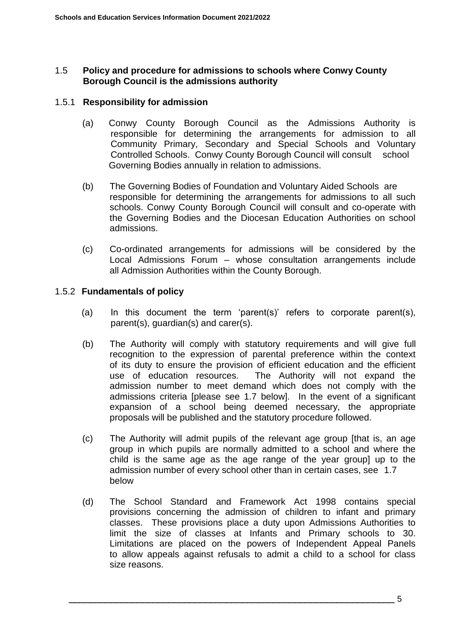### 1.5 **Policy and procedure for admissions to schools where Conwy County Borough Council is the admissions authority**

#### 1.5.1 **Responsibility for admission**

- (a) Conwy County Borough Council as the Admissions Authority is responsible for determining the arrangements for admission to all Community Primary, Secondary and Special Schools and Voluntary Controlled Schools. Conwy County Borough Council will consult school Governing Bodies annually in relation to admissions.
- (b) The Governing Bodies of Foundation and Voluntary Aided Schools are responsible for determining the arrangements for admissions to all such schools. Conwy County Borough Council will consult and co-operate with the Governing Bodies and the Diocesan Education Authorities on school admissions.
- (c) Co-ordinated arrangements for admissions will be considered by the Local Admissions Forum – whose consultation arrangements include all Admission Authorities within the County Borough.

### 1.5.2 **Fundamentals of policy**

- (a) In this document the term 'parent(s)' refers to corporate parent(s), parent(s), guardian(s) and carer(s).
- (b) The Authority will comply with statutory requirements and will give full recognition to the expression of parental preference within the context of its duty to ensure the provision of efficient education and the efficient use of education resources. The Authority will not expand the admission number to meet demand which does not comply with the admissions criteria [please see 1.7 below]. In the event of a significant expansion of a school being deemed necessary, the appropriate proposals will be published and the statutory procedure followed.
- (c) The Authority will admit pupils of the relevant age group [that is, an age group in which pupils are normally admitted to a school and where the child is the same age as the age range of the year group] up to the admission number of every school other than in certain cases, see 1.7 below
- (d) The School Standard and Framework Act 1998 contains special provisions concerning the admission of children to infant and primary classes. These provisions place a duty upon Admissions Authorities to limit the size of classes at Infants and Primary schools to 30. Limitations are placed on the powers of Independent Appeal Panels to allow appeals against refusals to admit a child to a school for class size reasons.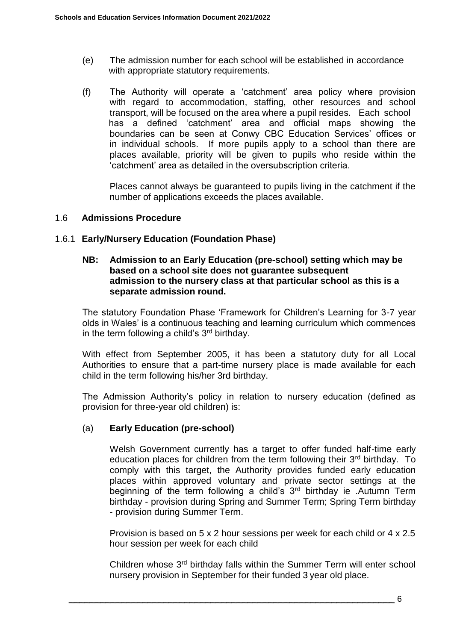- (e) The admission number for each school will be established in accordance with appropriate statutory requirements.
- (f) The Authority will operate a 'catchment' area policy where provision with regard to accommodation, staffing, other resources and school transport, will be focused on the area where a pupil resides. Each school has a defined 'catchment' area and official maps showing the boundaries can be seen at Conwy CBC Education Services' offices or in individual schools. If more pupils apply to a school than there are places available, priority will be given to pupils who reside within the 'catchment' area as detailed in the oversubscription criteria.

Places cannot always be guaranteed to pupils living in the catchment if the number of applications exceeds the places available.

### 1.6 **Admissions Procedure**

### 1.6.1 **Early/Nursery Education (Foundation Phase)**

#### **NB: Admission to an Early Education (pre-school) setting which may be based on a school site does not guarantee subsequent admission to the nursery class at that particular school as this is a separate admission round.**

The statutory Foundation Phase 'Framework for Children's Learning for 3-7 year olds in Wales' is a continuous teaching and learning curriculum which commences in the term following a child's  $3<sup>rd</sup>$  birthday.

With effect from September 2005, it has been a statutory duty for all Local Authorities to ensure that a part-time nursery place is made available for each child in the term following his/her 3rd birthday.

The Admission Authority's policy in relation to nursery education (defined as provision for three-year old children) is:

### (a) **Early Education (pre-school)**

Welsh Government currently has a target to offer funded half-time early education places for children from the term following their 3<sup>rd</sup> birthday. To comply with this target, the Authority provides funded early education places within approved voluntary and private sector settings at the beginning of the term following a child's  $3<sup>rd</sup>$  birthday ie .Autumn Term birthday - provision during Spring and Summer Term; Spring Term birthday - provision during Summer Term.

Provision is based on 5 x 2 hour sessions per week for each child or 4 x 2.5 hour session per week for each child

Children whose 3<sup>rd</sup> birthday falls within the Summer Term will enter school nursery provision in September for their funded 3 year old place.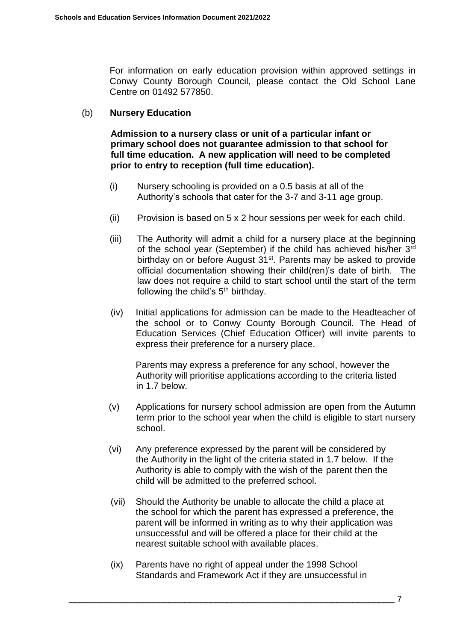For information on early education provision within approved settings in Conwy County Borough Council, please contact the Old School Lane Centre on 01492 577850.

### (b) **Nursery Education**

**Admission to a nursery class or unit of a particular infant or primary school does not guarantee admission to that school for full time education. A new application will need to be completed prior to entry to reception (full time education).**

- (i) Nursery schooling is provided on a 0.5 basis at all of the Authority's schools that cater for the 3-7 and 3-11 age group.
- (ii) Provision is based on 5 x 2 hour sessions per week for each child.
- (iii) The Authority will admit a child for a nursery place at the beginning of the school year (September) if the child has achieved his/her 3<sup>rd</sup> birthday on or before August 31<sup>st</sup>. Parents may be asked to provide official documentation showing their child(ren)'s date of birth. The law does not require a child to start school until the start of the term following the child's  $5<sup>th</sup>$  birthday.
- (iv) Initial applications for admission can be made to the Headteacher of the school or to Conwy County Borough Council. The Head of Education Services (Chief Education Officer) will invite parents to express their preference for a nursery place.

Parents may express a preference for any school, however the Authority will prioritise applications according to the criteria listed in 1.7 below.

- (v) Applications for nursery school admission are open from the Autumn term prior to the school year when the child is eligible to start nursery school.
- (vi) Any preference expressed by the parent will be considered by the Authority in the light of the criteria stated in 1.7 below. If the Authority is able to comply with the wish of the parent then the child will be admitted to the preferred school.
- (vii) Should the Authority be unable to allocate the child a place at the school for which the parent has expressed a preference, the parent will be informed in writing as to why their application was unsuccessful and will be offered a place for their child at the nearest suitable school with available places.
- (ix) Parents have no right of appeal under the 1998 School Standards and Framework Act if they are unsuccessful in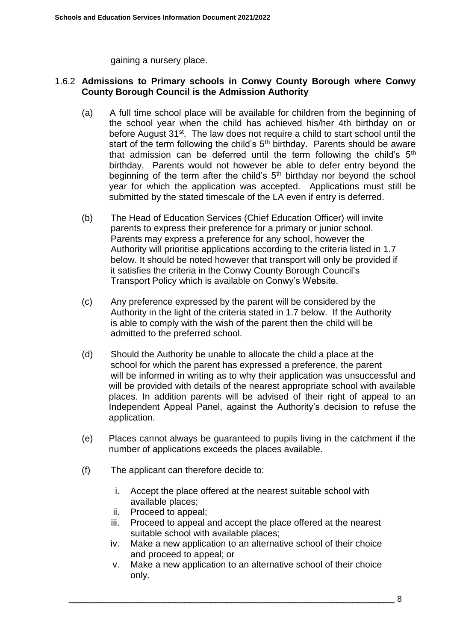gaining a nursery place.

### 1.6.2 **Admissions to Primary schools in Conwy County Borough where Conwy County Borough Council is the Admission Authority**

- (a) A full time school place will be available for children from the beginning of the school year when the child has achieved his/her 4th birthday on or before August 31<sup>st</sup>. The law does not require a child to start school until the start of the term following the child's  $5<sup>th</sup>$  birthday. Parents should be aware that admission can be deferred until the term following the child's  $5<sup>th</sup>$ birthday. Parents would not however be able to defer entry beyond the beginning of the term after the child's  $5<sup>th</sup>$  birthday nor beyond the school year for which the application was accepted. Applications must still be submitted by the stated timescale of the LA even if entry is deferred.
- (b) The Head of Education Services (Chief Education Officer) will invite parents to express their preference for a primary or junior school. Parents may express a preference for any school, however the Authority will prioritise applications according to the criteria listed in 1.7 below. It should be noted however that transport will only be provided if it satisfies the criteria in the Conwy County Borough Council's Transport Policy which is available on Conwy's Website.
- (c) Any preference expressed by the parent will be considered by the Authority in the light of the criteria stated in 1.7 below. If the Authority is able to comply with the wish of the parent then the child will be admitted to the preferred school.
- (d) Should the Authority be unable to allocate the child a place at the school for which the parent has expressed a preference, the parent will be informed in writing as to why their application was unsuccessful and will be provided with details of the nearest appropriate school with available places. In addition parents will be advised of their right of appeal to an Independent Appeal Panel, against the Authority's decision to refuse the application.
- (e) Places cannot always be guaranteed to pupils living in the catchment if the number of applications exceeds the places available.
- (f) The applicant can therefore decide to:
	- i. Accept the place offered at the nearest suitable school with available places;
	- ii. Proceed to appeal;
	- iii. Proceed to appeal and accept the place offered at the nearest suitable school with available places;
	- iv. Make a new application to an alternative school of their choice and proceed to appeal; or
	- v. Make a new application to an alternative school of their choice only.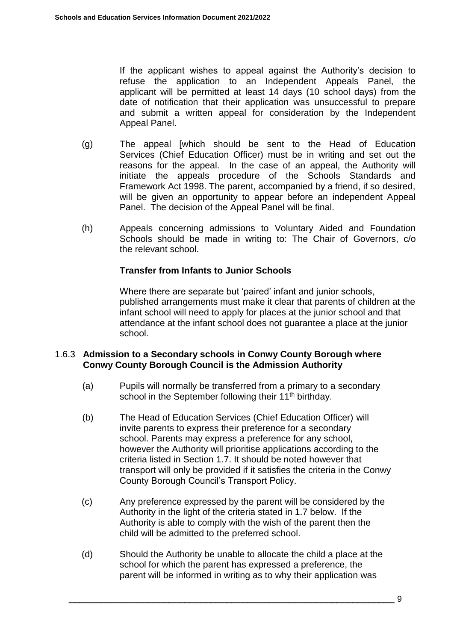If the applicant wishes to appeal against the Authority's decision to refuse the application to an Independent Appeals Panel, the applicant will be permitted at least 14 days (10 school days) from the date of notification that their application was unsuccessful to prepare and submit a written appeal for consideration by the Independent Appeal Panel.

- (g) The appeal [which should be sent to the Head of Education Services (Chief Education Officer) must be in writing and set out the reasons for the appeal. In the case of an appeal, the Authority will initiate the appeals procedure of the Schools Standards and Framework Act 1998. The parent, accompanied by a friend, if so desired, will be given an opportunity to appear before an independent Appeal Panel. The decision of the Appeal Panel will be final.
- (h) Appeals concerning admissions to Voluntary Aided and Foundation Schools should be made in writing to: The Chair of Governors, c/o the relevant school.

### **Transfer from Infants to Junior Schools**

Where there are separate but 'paired' infant and junior schools, published arrangements must make it clear that parents of children at the infant school will need to apply for places at the junior school and that attendance at the infant school does not guarantee a place at the junior school.

### 1.6.3 **Admission to a Secondary schools in Conwy County Borough where Conwy County Borough Council is the Admission Authority**

- (a) Pupils will normally be transferred from a primary to a secondary school in the September following their 11<sup>th</sup> birthday.
- (b) The Head of Education Services (Chief Education Officer) will invite parents to express their preference for a secondary school. Parents may express a preference for any school, however the Authority will prioritise applications according to the criteria listed in Section 1.7. It should be noted however that transport will only be provided if it satisfies the criteria in the Conwy County Borough Council's Transport Policy.
- (c) Any preference expressed by the parent will be considered by the Authority in the light of the criteria stated in 1.7 below. If the Authority is able to comply with the wish of the parent then the child will be admitted to the preferred school.
- (d) Should the Authority be unable to allocate the child a place at the school for which the parent has expressed a preference, the parent will be informed in writing as to why their application was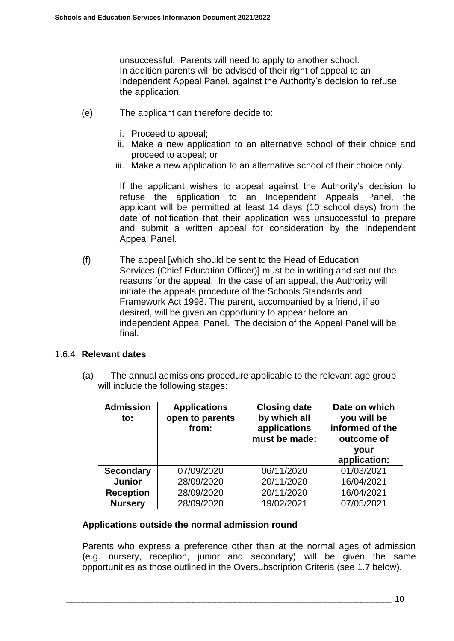unsuccessful. Parents will need to apply to another school. In addition parents will be advised of their right of appeal to an Independent Appeal Panel, against the Authority's decision to refuse the application.

- (e) The applicant can therefore decide to:
	- i. Proceed to appeal;
	- ii. Make a new application to an alternative school of their choice and proceed to appeal; or
	- iii. Make a new application to an alternative school of their choice only.

If the applicant wishes to appeal against the Authority's decision to refuse the application to an Independent Appeals Panel, the applicant will be permitted at least 14 days (10 school days) from the date of notification that their application was unsuccessful to prepare and submit a written appeal for consideration by the Independent Appeal Panel.

(f) The appeal [which should be sent to the Head of Education Services (Chief Education Officer)] must be in writing and set out the reasons for the appeal. In the case of an appeal, the Authority will initiate the appeals procedure of the Schools Standards and Framework Act 1998. The parent, accompanied by a friend, if so desired, will be given an opportunity to appear before an independent Appeal Panel. The decision of the Appeal Panel will be final.

### 1.6.4 **Relevant dates**

(a) The annual admissions procedure applicable to the relevant age group will include the following stages:

| <b>Admission</b><br>to: | <b>Applications</b><br>open to parents<br>from: | <b>Closing date</b><br>by which all<br>applications<br>must be made: | Date on which<br>you will be<br>informed of the<br>outcome of<br>your<br>application: |
|-------------------------|-------------------------------------------------|----------------------------------------------------------------------|---------------------------------------------------------------------------------------|
| <b>Secondary</b>        | 07/09/2020                                      | 06/11/2020                                                           | 01/03/2021                                                                            |
| <b>Junior</b>           | 28/09/2020                                      | 20/11/2020                                                           | 16/04/2021                                                                            |
| <b>Reception</b>        | 28/09/2020                                      | 20/11/2020                                                           | 16/04/2021                                                                            |
| <b>Nursery</b>          | 28/09/2020                                      | 19/02/2021                                                           | 07/05/2021                                                                            |

### **Applications outside the normal admission round**

Parents who express a preference other than at the normal ages of admission (e.g. nursery, reception, junior and secondary) will be given the same opportunities as those outlined in the Oversubscription Criteria (see 1.7 below).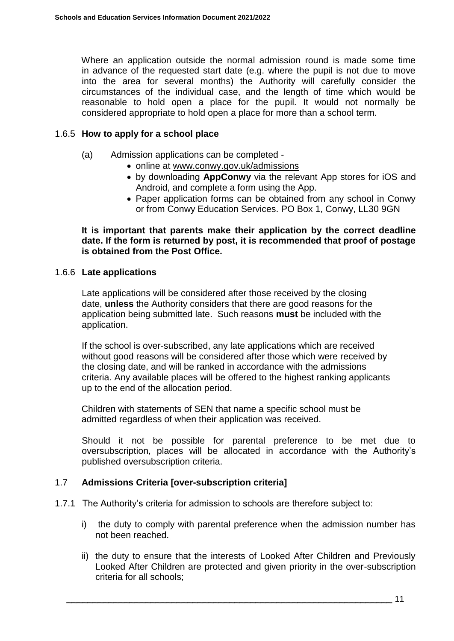Where an application outside the normal admission round is made some time in advance of the requested start date (e.g. where the pupil is not due to move into the area for several months) the Authority will carefully consider the circumstances of the individual case, and the length of time which would be reasonable to hold open a place for the pupil. It would not normally be considered appropriate to hold open a place for more than a school term.

#### 1.6.5 **How to apply for a school place**

- (a) Admission applications can be completed
	- online at [www.conwy.gov.uk/admissions](http://www.conwy.gov.uk/admissions)
	- by downloading **AppConwy** via the relevant App stores for iOS and Android, and complete a form using the App.
	- Paper application forms can be obtained from any school in Conwy or from Conwy Education Services. PO Box 1, Conwy, LL30 9GN

**It is important that parents make their application by the correct deadline date. If the form is returned by post, it is recommended that proof of postage is obtained from the Post Office.**

#### 1.6.6 **Late applications**

Late applications will be considered after those received by the closing date, **unless** the Authority considers that there are good reasons for the application being submitted late. Such reasons **must** be included with the application.

If the school is over-subscribed, any late applications which are received without good reasons will be considered after those which were received by the closing date, and will be ranked in accordance with the admissions criteria. Any available places will be offered to the highest ranking applicants up to the end of the allocation period.

 Children with statements of SEN that name a specific school must be admitted regardless of when their application was received.

Should it not be possible for parental preference to be met due to oversubscription, places will be allocated in accordance with the Authority's published oversubscription criteria.

### 1.7 **Admissions Criteria [over-subscription criteria]**

- 1.7.1 The Authority's criteria for admission to schools are therefore subject to:
	- i) the duty to comply with parental preference when the admission number has not been reached.
	- ii) the duty to ensure that the interests of Looked After Children and Previously Looked After Children are protected and given priority in the over-subscription criteria for all schools;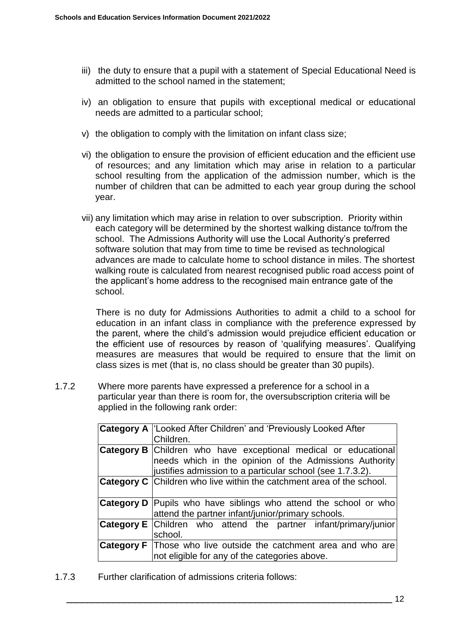- iii) the duty to ensure that a pupil with a statement of Special Educational Need is admitted to the school named in the statement;
- iv) an obligation to ensure that pupils with exceptional medical or educational needs are admitted to a particular school;
- v) the obligation to comply with the limitation on infant class size;
- vi) the obligation to ensure the provision of efficient education and the efficient use of resources; and any limitation which may arise in relation to a particular school resulting from the application of the admission number, which is the number of children that can be admitted to each year group during the school year.
- vii) any limitation which may arise in relation to over subscription. Priority within each category will be determined by the shortest walking distance to/from the school. The Admissions Authority will use the Local Authority's preferred software solution that may from time to time be revised as technological advances are made to calculate home to school distance in miles. The shortest walking route is calculated from nearest recognised public road access point of the applicant's home address to the recognised main entrance gate of the school.

There is no duty for Admissions Authorities to admit a child to a school for education in an infant class in compliance with the preference expressed by the parent, where the child's admission would prejudice efficient education or the efficient use of resources by reason of 'qualifying measures'. Qualifying measures are measures that would be required to ensure that the limit on class sizes is met (that is, no class should be greater than 30 pupils).

1.7.2 Where more parents have expressed a preference for a school in a particular year than there is room for, the oversubscription criteria will be applied in the following rank order:

| <b>Category A   Looked After Children' and 'Previously Looked After</b><br>Children.                                                                                                          |
|-----------------------------------------------------------------------------------------------------------------------------------------------------------------------------------------------|
| <b>Category B</b> Children who have exceptional medical or educational<br>needs which in the opinion of the Admissions Authority<br>justifies admission to a particular school (see 1.7.3.2). |
| <b>Category C</b> Children who live within the catchment area of the school.                                                                                                                  |
| <b>Category D</b> Pupils who have siblings who attend the school or who<br>attend the partner infant/junior/primary schools.                                                                  |
| <b>Category E</b> Children who attend the partner infant/primary/junior<br>school.                                                                                                            |
| <b>Category F</b> Those who live outside the catchment area and who are<br>not eligible for any of the categories above.                                                                      |

1.7.3 Further clarification of admissions criteria follows: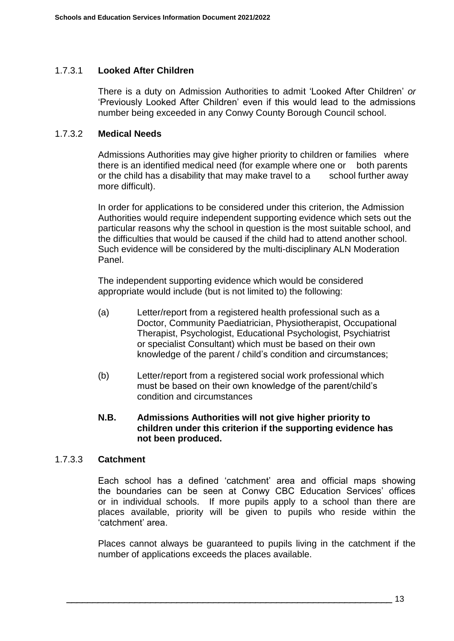### 1.7.3.1 **Looked After Children**

There is a duty on Admission Authorities to admit 'Looked After Children' *or*  'Previously Looked After Children' even if this would lead to the admissions number being exceeded in any Conwy County Borough Council school.

### 1.7.3.2 **Medical Needs**

Admissions Authorities may give higher priority to children or families where there is an identified medical need (for example where one or both parents or the child has a disability that may make travel to a school further away more difficult).

In order for applications to be considered under this criterion, the Admission Authorities would require independent supporting evidence which sets out the particular reasons why the school in question is the most suitable school, and the difficulties that would be caused if the child had to attend another school. Such evidence will be considered by the multi-disciplinary ALN Moderation Panel.

The independent supporting evidence which would be considered appropriate would include (but is not limited to) the following:

- (a) Letter/report from a registered health professional such as a Doctor, Community Paediatrician, Physiotherapist, Occupational Therapist, Psychologist, Educational Psychologist, Psychiatrist or specialist Consultant) which must be based on their own knowledge of the parent / child's condition and circumstances;
- (b) Letter/report from a registered social work professional which must be based on their own knowledge of the parent/child's condition and circumstances

### **N.B. Admissions Authorities will not give higher priority to children under this criterion if the supporting evidence has not been produced.**

### 1.7.3.3 **Catchment**

Each school has a defined 'catchment' area and official maps showing the boundaries can be seen at Conwy CBC Education Services' offices or in individual schools. If more pupils apply to a school than there are places available, priority will be given to pupils who reside within the 'catchment' area.

Places cannot always be guaranteed to pupils living in the catchment if the number of applications exceeds the places available.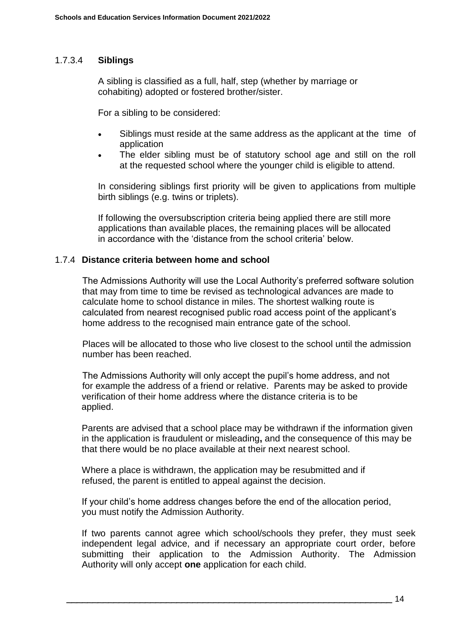### 1.7.3.4 **Siblings**

 A sibling is classified as a full, half, step (whether by marriage or cohabiting) adopted or fostered brother/sister.

For a sibling to be considered:

- Siblings must reside at the same address as the applicant at the time of application
- The elder sibling must be of statutory school age and still on the roll at the requested school where the younger child is eligible to attend.

In considering siblings first priority will be given to applications from multiple birth siblings (e.g. twins or triplets).

If following the oversubscription criteria being applied there are still more applications than available places, the remaining places will be allocated in accordance with the 'distance from the school criteria' below.

#### 1.7.4 **Distance criteria between home and school**

The Admissions Authority will use the Local Authority's preferred software solution that may from time to time be revised as technological advances are made to calculate home to school distance in miles. The shortest walking route is calculated from nearest recognised public road access point of the applicant's home address to the recognised main entrance gate of the school.

Places will be allocated to those who live closest to the school until the admission number has been reached.

The Admissions Authority will only accept the pupil's home address, and not for example the address of a friend or relative. Parents may be asked to provide verification of their home address where the distance criteria is to be applied.

Parents are advised that a school place may be withdrawn if the information given in the application is fraudulent or misleading**,** and the consequence of this may be that there would be no place available at their next nearest school.

Where a place is withdrawn, the application may be resubmitted and if refused, the parent is entitled to appeal against the decision.

If your child's home address changes before the end of the allocation period, you must notify the Admission Authority.

If two parents cannot agree which school/schools they prefer, they must seek independent legal advice, and if necessary an appropriate court order, before submitting their application to the Admission Authority. The Admission Authority will only accept **one** application for each child.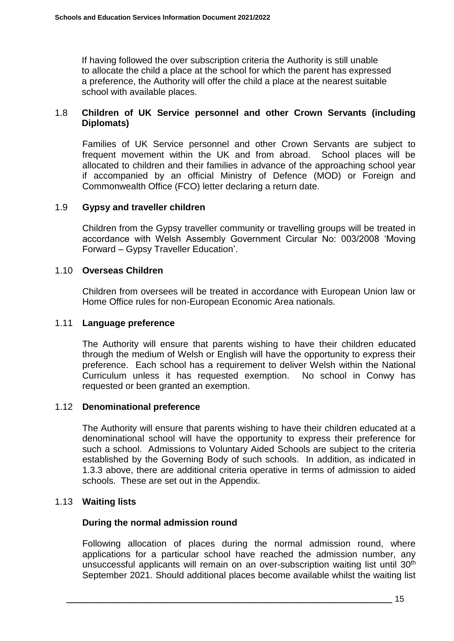If having followed the over subscription criteria the Authority is still unable to allocate the child a place at the school for which the parent has expressed a preference, the Authority will offer the child a place at the nearest suitable school with available places.

### 1.8 **Children of UK Service personnel and other Crown Servants (including Diplomats)**

Families of UK Service personnel and other Crown Servants are subject to frequent movement within the UK and from abroad. School places will be allocated to children and their families in advance of the approaching school year if accompanied by an official Ministry of Defence (MOD) or Foreign and Commonwealth Office (FCO) letter declaring a return date.

### 1.9 **Gypsy and traveller children**

Children from the Gypsy traveller community or travelling groups will be treated in accordance with Welsh Assembly Government Circular No: 003/2008 'Moving Forward – Gypsy Traveller Education'.

#### 1.10 **Overseas Children**

Children from oversees will be treated in accordance with European Union law or Home Office rules for non-European Economic Area nationals.

#### 1.11 **Language preference**

The Authority will ensure that parents wishing to have their children educated through the medium of Welsh or English will have the opportunity to express their preference. Each school has a requirement to deliver Welsh within the National Curriculum unless it has requested exemption. No school in Conwy has requested or been granted an exemption.

### 1.12 **Denominational preference**

The Authority will ensure that parents wishing to have their children educated at a denominational school will have the opportunity to express their preference for such a school. Admissions to Voluntary Aided Schools are subject to the criteria established by the Governing Body of such schools. In addition, as indicated in 1.3.3 above, there are additional criteria operative in terms of admission to aided schools. These are set out in the Appendix.

### 1.13 **Waiting lists**

### **During the normal admission round**

Following allocation of places during the normal admission round, where applications for a particular school have reached the admission number, any unsuccessful applicants will remain on an over-subscription waiting list until 30<sup>th</sup> September 2021. Should additional places become available whilst the waiting list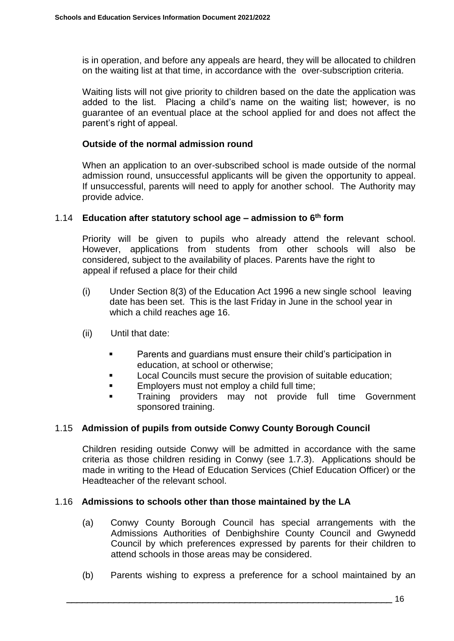is in operation, and before any appeals are heard, they will be allocated to children on the waiting list at that time, in accordance with the over-subscription criteria.

Waiting lists will not give priority to children based on the date the application was added to the list. Placing a child's name on the waiting list; however, is no guarantee of an eventual place at the school applied for and does not affect the parent's right of appeal.

### **Outside of the normal admission round**

When an application to an over-subscribed school is made outside of the normal admission round, unsuccessful applicants will be given the opportunity to appeal. If unsuccessful, parents will need to apply for another school. The Authority may provide advice.

#### 1.14 **Education after statutory school age – admission to 6th form**

Priority will be given to pupils who already attend the relevant school. However, applications from students from other schools will also be considered, subject to the availability of places. Parents have the right to appeal if refused a place for their child

- (i) Under Section 8(3) of the Education Act 1996 a new single school leaving date has been set. This is the last Friday in June in the school year in which a child reaches age 16.
- (ii) Until that date:
	- Parents and guardians must ensure their child's participation in education, at school or otherwise;
	- **Local Councils must secure the provision of suitable education;**
	- **Employers must not employ a child full time;**
	- **Training providers may not provide full time Government** sponsored training.

### 1.15 **Admission of pupils from outside Conwy County Borough Council**

Children residing outside Conwy will be admitted in accordance with the same criteria as those children residing in Conwy (see 1.7.3). Applications should be made in writing to the Head of Education Services (Chief Education Officer) or the Headteacher of the relevant school.

### 1.16 **Admissions to schools other than those maintained by the LA**

- (a) Conwy County Borough Council has special arrangements with the Admissions Authorities of Denbighshire County Council and Gwynedd Council by which preferences expressed by parents for their children to attend schools in those areas may be considered.
- (b) Parents wishing to express a preference for a school maintained by an